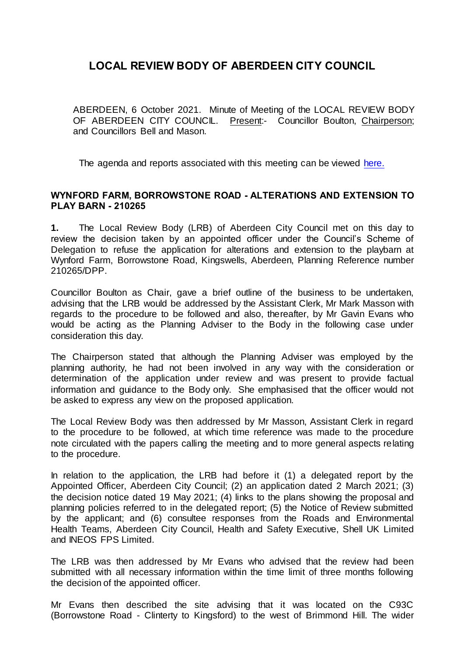ABERDEEN, 6 October 2021. Minute of Meeting of the LOCAL REVIEW BODY OF ABERDEEN CITY COUNCIL. Present:- Councillor Boulton, Chairperson; and Councillors Bell and Mason.

The agenda and reports associated with this meeting can be viewed [here.](https://committees.aberdeencity.gov.uk/ieListDocuments.aspx?CId=284&MId=7594)

#### **WYNFORD FARM, BORROWSTONE ROAD - ALTERATIONS AND EXTENSION TO PLAY BARN - 210265**

**1.** The Local Review Body (LRB) of Aberdeen City Council met on this day to review the decision taken by an appointed officer under the Council's Scheme of Delegation to refuse the application for alterations and extension to the playbarn at Wynford Farm, Borrowstone Road, Kingswells, Aberdeen, Planning Reference number 210265/DPP.

Councillor Boulton as Chair, gave a brief outline of the business to be undertaken, advising that the LRB would be addressed by the Assistant Clerk, Mr Mark Masson with regards to the procedure to be followed and also, thereafter, by Mr Gavin Evans who would be acting as the Planning Adviser to the Body in the following case under consideration this day.

The Chairperson stated that although the Planning Adviser was employed by the planning authority, he had not been involved in any way with the consideration or determination of the application under review and was present to provide factual information and guidance to the Body only. She emphasised that the officer would not be asked to express any view on the proposed application.

The Local Review Body was then addressed by Mr Masson, Assistant Clerk in regard to the procedure to be followed, at which time reference was made to the procedure note circulated with the papers calling the meeting and to more general aspects relating to the procedure.

In relation to the application, the LRB had before it (1) a delegated report by the Appointed Officer, Aberdeen City Council; (2) an application dated 2 March 2021; (3) the decision notice dated 19 May 2021; (4) links to the plans showing the proposal and planning policies referred to in the delegated report; (5) the Notice of Review submitted by the applicant; and (6) consultee responses from the Roads and Environmental Health Teams, Aberdeen City Council, Health and Safety Executive, Shell UK Limited and INEOS FPS Limited.

The LRB was then addressed by Mr Evans who advised that the review had been submitted with all necessary information within the time limit of three months following the decision of the appointed officer.

Mr Evans then described the site advising that it was located on the C93C (Borrowstone Road - Clinterty to Kingsford) to the west of Brimmond Hill. The wider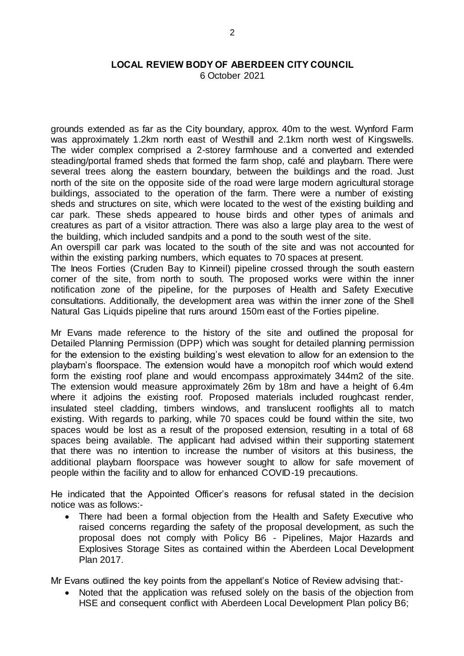6 October 2021

grounds extended as far as the City boundary, approx. 40m to the west. Wynford Farm was approximately 1.2km north east of Westhill and 2.1km north west of Kingswells. The wider complex comprised a 2-storey farmhouse and a converted and extended steading/portal framed sheds that formed the farm shop, café and playbarn. There were several trees along the eastern boundary, between the buildings and the road. Just north of the site on the opposite side of the road were large modern agricultural storage buildings, associated to the operation of the farm. There were a number of existing sheds and structures on site, which were located to the west of the existing building and car park. These sheds appeared to house birds and other types of animals and creatures as part of a visitor attraction. There was also a large play area to the west of the building, which included sandpits and a pond to the south west of the site.

An overspill car park was located to the south of the site and was not accounted for within the existing parking numbers, which equates to 70 spaces at present.

The Ineos Forties (Cruden Bay to Kinneil) pipeline crossed through the south eastern corner of the site, from north to south. The proposed works were within the inner notification zone of the pipeline, for the purposes of Health and Safety Executive consultations. Additionally, the development area was within the inner zone of the Shell Natural Gas Liquids pipeline that runs around 150m east of the Forties pipeline.

Mr Evans made reference to the history of the site and outlined the proposal for Detailed Planning Permission (DPP) which was sought for detailed planning permission for the extension to the existing building's west elevation to allow for an extension to the playbarn's floorspace. The extension would have a monopitch roof which would extend form the existing roof plane and would encompass approximately 344m2 of the site. The extension would measure approximately 26m by 18m and have a height of 6.4m where it adjoins the existing roof. Proposed materials included roughcast render, insulated steel cladding, timbers windows, and translucent rooflights all to match existing. With regards to parking, while 70 spaces could be found within the site, two spaces would be lost as a result of the proposed extension, resulting in a total of 68 spaces being available. The applicant had advised within their supporting statement that there was no intention to increase the number of visitors at this business, the additional playbarn floorspace was however sought to allow for safe movement of people within the facility and to allow for enhanced COVID-19 precautions.

He indicated that the Appointed Officer's reasons for refusal stated in the decision notice was as follows:-

 There had been a formal objection from the Health and Safety Executive who raised concerns regarding the safety of the proposal development, as such the proposal does not comply with Policy B6 - Pipelines, Major Hazards and Explosives Storage Sites as contained within the Aberdeen Local Development Plan 2017.

Mr Evans outlined the key points from the appellant's Notice of Review advising that:-

• Noted that the application was refused solely on the basis of the objection from HSE and consequent conflict with Aberdeen Local Development Plan policy B6;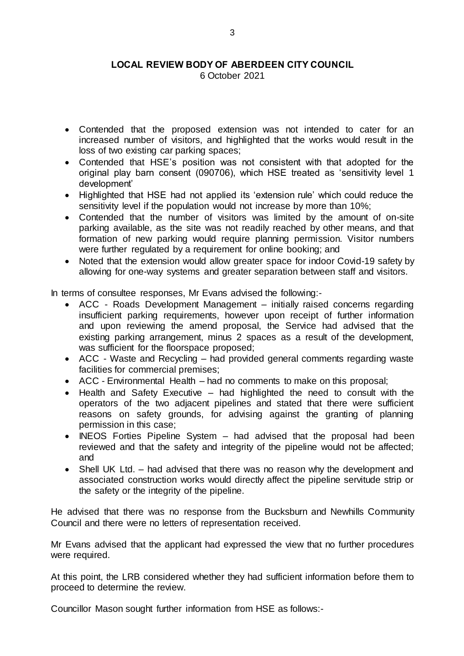6 October 2021

- Contended that the proposed extension was not intended to cater for an increased number of visitors, and highlighted that the works would result in the loss of two existing car parking spaces;
- Contended that HSE's position was not consistent with that adopted for the original play barn consent (090706), which HSE treated as 'sensitivity level 1 development'
- Highlighted that HSE had not applied its 'extension rule' which could reduce the sensitivity level if the population would not increase by more than 10%;
- Contended that the number of visitors was limited by the amount of on-site parking available, as the site was not readily reached by other means, and that formation of new parking would require planning permission. Visitor numbers were further regulated by a requirement for online booking; and
- Noted that the extension would allow greater space for indoor Covid-19 safety by allowing for one-way systems and greater separation between staff and visitors.

In terms of consultee responses, Mr Evans advised the following:-

- ACC Roads Development Management initially raised concerns regarding insufficient parking requirements, however upon receipt of further information and upon reviewing the amend proposal, the Service had advised that the existing parking arrangement, minus 2 spaces as a result of the development, was sufficient for the floorspace proposed;
- ACC Waste and Recycling had provided general comments regarding waste facilities for commercial premises;
- ACC Environmental Health had no comments to make on this proposal;
- Health and Safety Executive had highlighted the need to consult with the operators of the two adjacent pipelines and stated that there were sufficient reasons on safety grounds, for advising against the granting of planning permission in this case;
- INEOS Forties Pipeline System had advised that the proposal had been reviewed and that the safety and integrity of the pipeline would not be affected; and
- Shell UK Ltd. had advised that there was no reason why the development and associated construction works would directly affect the pipeline servitude strip or the safety or the integrity of the pipeline.

He advised that there was no response from the Bucksburn and Newhills Community Council and there were no letters of representation received.

Mr Evans advised that the applicant had expressed the view that no further procedures were required.

At this point, the LRB considered whether they had sufficient information before them to proceed to determine the review.

Councillor Mason sought further information from HSE as follows:-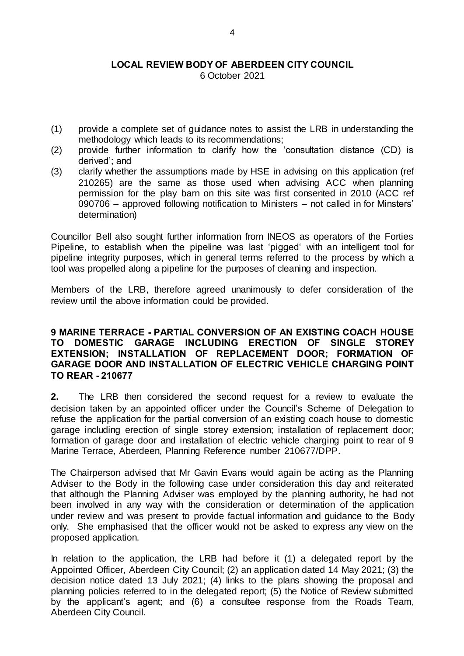6 October 2021

- (1) provide a complete set of guidance notes to assist the LRB in understanding the methodology which leads to its recommendations;
- (2) provide further information to clarify how the 'consultation distance (CD) is derived'; and
- (3) clarify whether the assumptions made by HSE in advising on this application (ref 210265) are the same as those used when advising ACC when planning permission for the play barn on this site was first consented in 2010 (ACC ref 090706 – approved following notification to Ministers – not called in for Minsters' determination)

Councillor Bell also sought further information from INEOS as operators of the Forties Pipeline, to establish when the pipeline was last 'pigged' with an intelligent tool for pipeline integrity purposes, which in general terms referred to the process by which a tool was propelled along a pipeline for the purposes of cleaning and inspection.

Members of the LRB, therefore agreed unanimously to defer consideration of the review until the above information could be provided.

## **9 MARINE TERRACE - PARTIAL CONVERSION OF AN EXISTING COACH HOUSE TO DOMESTIC GARAGE INCLUDING ERECTION OF SINGLE STOREY EXTENSION; INSTALLATION OF REPLACEMENT DOOR; FORMATION OF GARAGE DOOR AND INSTALLATION OF ELECTRIC VEHICLE CHARGING POINT TO REAR - 210677**

**2.** The LRB then considered the second request for a review to evaluate the decision taken by an appointed officer under the Council's Scheme of Delegation to refuse the application for the partial conversion of an existing coach house to domestic garage including erection of single storey extension; installation of replacement door; formation of garage door and installation of electric vehicle charging point to rear of 9 Marine Terrace, Aberdeen, Planning Reference number 210677/DPP.

The Chairperson advised that Mr Gavin Evans would again be acting as the Planning Adviser to the Body in the following case under consideration this day and reiterated that although the Planning Adviser was employed by the planning authority, he had not been involved in any way with the consideration or determination of the application under review and was present to provide factual information and guidance to the Body only. She emphasised that the officer would not be asked to express any view on the proposed application.

In relation to the application, the LRB had before it (1) a delegated report by the Appointed Officer, Aberdeen City Council; (2) an application dated 14 May 2021; (3) the decision notice dated 13 July 2021; (4) links to the plans showing the proposal and planning policies referred to in the delegated report; (5) the Notice of Review submitted by the applicant's agent; and (6) a consultee response from the Roads Team, Aberdeen City Council.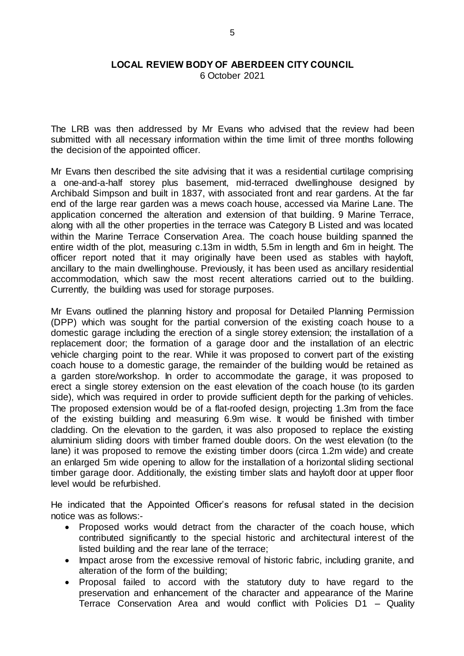6 October 2021

The LRB was then addressed by Mr Evans who advised that the review had been submitted with all necessary information within the time limit of three months following the decision of the appointed officer.

Mr Evans then described the site advising that it was a residential curtilage comprising a one-and-a-half storey plus basement, mid-terraced dwellinghouse designed by Archibald Simpson and built in 1837, with associated front and rear gardens. At the far end of the large rear garden was a mews coach house, accessed via Marine Lane. The application concerned the alteration and extension of that building. 9 Marine Terrace, along with all the other properties in the terrace was Category B Listed and was located within the Marine Terrace Conservation Area. The coach house building spanned the entire width of the plot, measuring c.13m in width, 5.5m in length and 6m in height. The officer report noted that it may originally have been used as stables with hayloft, ancillary to the main dwellinghouse. Previously, it has been used as ancillary residential accommodation, which saw the most recent alterations carried out to the building. Currently, the building was used for storage purposes.

Mr Evans outlined the planning history and proposal for Detailed Planning Permission (DPP) which was sought for the partial conversion of the existing coach house to a domestic garage including the erection of a single storey extension; the installation of a replacement door; the formation of a garage door and the installation of an electric vehicle charging point to the rear. While it was proposed to convert part of the existing coach house to a domestic garage, the remainder of the building would be retained as a garden store/workshop. In order to accommodate the garage, it was proposed to erect a single storey extension on the east elevation of the coach house (to its garden side), which was required in order to provide sufficient depth for the parking of vehicles. The proposed extension would be of a flat-roofed design, projecting 1.3m from the face of the existing building and measuring 6.9m wise. It would be finished with timber cladding. On the elevation to the garden, it was also proposed to replace the existing aluminium sliding doors with timber framed double doors. On the west elevation (to the lane) it was proposed to remove the existing timber doors (circa 1.2m wide) and create an enlarged 5m wide opening to allow for the installation of a horizontal sliding sectional timber garage door. Additionally, the existing timber slats and hayloft door at upper floor level would be refurbished.

He indicated that the Appointed Officer's reasons for refusal stated in the decision notice was as follows:-

- Proposed works would detract from the character of the coach house, which contributed significantly to the special historic and architectural interest of the listed building and the rear lane of the terrace;
- Impact arose from the excessive removal of historic fabric, including granite, and alteration of the form of the building;
- Proposal failed to accord with the statutory duty to have regard to the preservation and enhancement of the character and appearance of the Marine Terrace Conservation Area and would conflict with Policies D1 – Quality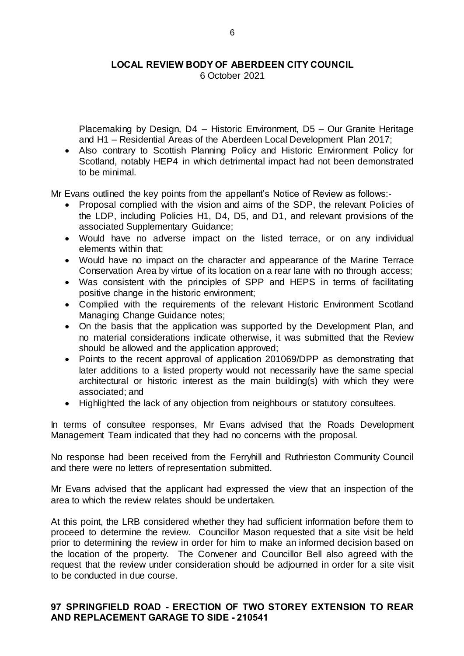6 October 2021

Placemaking by Design, D4 – Historic Environment, D5 – Our Granite Heritage and H1 – Residential Areas of the Aberdeen Local Development Plan 2017;

 Also contrary to Scottish Planning Policy and Historic Environment Policy for Scotland, notably HEP4 in which detrimental impact had not been demonstrated to be minimal.

Mr Evans outlined the key points from the appellant's Notice of Review as follows:-

- Proposal complied with the vision and aims of the SDP, the relevant Policies of the LDP, including Policies H1, D4, D5, and D1, and relevant provisions of the associated Supplementary Guidance;
- Would have no adverse impact on the listed terrace, or on any individual elements within that;
- Would have no impact on the character and appearance of the Marine Terrace Conservation Area by virtue of its location on a rear lane with no through access;
- Was consistent with the principles of SPP and HEPS in terms of facilitating positive change in the historic environment;
- Complied with the requirements of the relevant Historic Environment Scotland Managing Change Guidance notes;
- On the basis that the application was supported by the Development Plan, and no material considerations indicate otherwise, it was submitted that the Review should be allowed and the application approved;
- Points to the recent approval of application 201069/DPP as demonstrating that later additions to a listed property would not necessarily have the same special architectural or historic interest as the main building(s) with which they were associated; and
- Highlighted the lack of any objection from neighbours or statutory consultees.

In terms of consultee responses, Mr Evans advised that the Roads Development Management Team indicated that they had no concerns with the proposal.

No response had been received from the Ferryhill and Ruthrieston Community Council and there were no letters of representation submitted.

Mr Evans advised that the applicant had expressed the view that an inspection of the area to which the review relates should be undertaken.

At this point, the LRB considered whether they had sufficient information before them to proceed to determine the review. Councillor Mason requested that a site visit be held prior to determining the review in order for him to make an informed decision based on the location of the property. The Convener and Councillor Bell also agreed with the request that the review under consideration should be adjourned in order for a site visit to be conducted in due course.

#### **97 SPRINGFIELD ROAD - ERECTION OF TWO STOREY EXTENSION TO REAR AND REPLACEMENT GARAGE TO SIDE - 210541**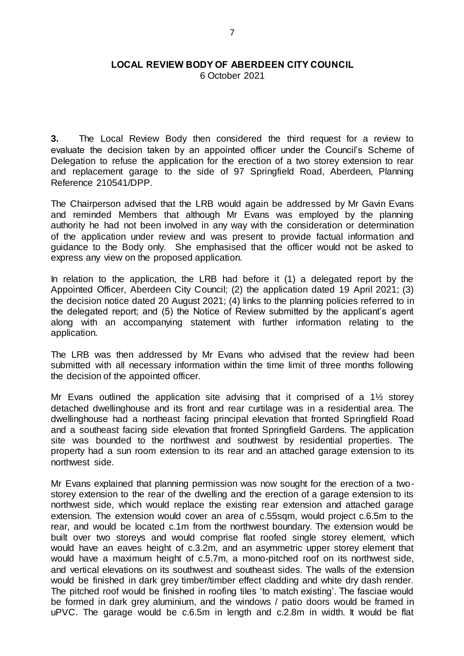6 October 2021

**3.** The Local Review Body then considered the third request for a review to evaluate the decision taken by an appointed officer under the Council's Scheme of Delegation to refuse the application for the erection of a two storey extension to rear and replacement garage to the side of 97 Springfield Road, Aberdeen, Planning Reference 210541/DPP.

The Chairperson advised that the LRB would again be addressed by Mr Gavin Evans and reminded Members that although Mr Evans was employed by the planning authority he had not been involved in any way with the consideration or determination of the application under review and was present to provide factual information and guidance to the Body only. She emphasised that the officer would not be asked to express any view on the proposed application.

In relation to the application, the LRB had before it (1) a delegated report by the Appointed Officer, Aberdeen City Council; (2) the application dated 19 April 2021; (3) the decision notice dated 20 August 2021; (4) links to the planning policies referred to in the delegated report; and (5) the Notice of Review submitted by the applicant's agent along with an accompanying statement with further information relating to the application.

The LRB was then addressed by Mr Evans who advised that the review had been submitted with all necessary information within the time limit of three months following the decision of the appointed officer.

Mr Evans outlined the application site advising that it comprised of a 1½ storey detached dwellinghouse and its front and rear curtilage was in a residential area. The dwellinghouse had a northeast facing principal elevation that fronted Springfield Road and a southeast facing side elevation that fronted Springfield Gardens. The application site was bounded to the northwest and southwest by residential properties. The property had a sun room extension to its rear and an attached garage extension to its northwest side.

Mr Evans explained that planning permission was now sought for the erection of a twostorey extension to the rear of the dwelling and the erection of a garage extension to its northwest side, which would replace the existing rear extension and attached garage extension. The extension would cover an area of c.55sqm, would project c.6.5m to the rear, and would be located c.1m from the northwest boundary. The extension would be built over two storeys and would comprise flat roofed single storey element, which would have an eaves height of c.3.2m, and an asymmetric upper storey element that would have a maximum height of c.5.7m, a mono-pitched roof on its northwest side, and vertical elevations on its southwest and southeast sides. The walls of the extension would be finished in dark grey timber/timber effect cladding and white dry dash render. The pitched roof would be finished in roofing tiles 'to match existing'. The fasciae would be formed in dark grey aluminium, and the windows / patio doors would be framed in uPVC. The garage would be c.6.5m in length and c.2.8m in width. It would be flat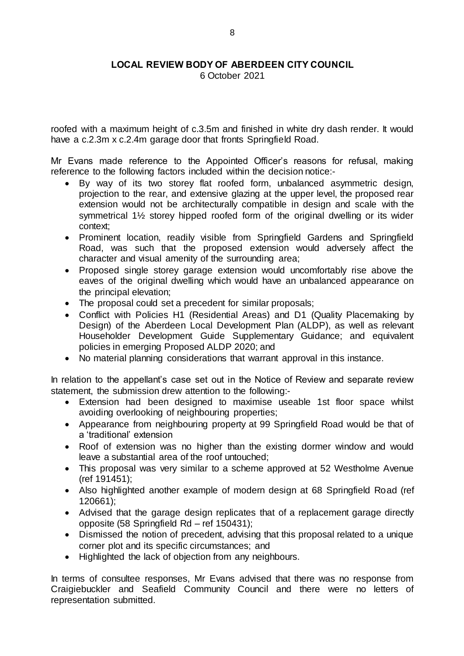6 October 2021

roofed with a maximum height of c.3.5m and finished in white dry dash render. It would have a c.2.3m x c.2.4m garage door that fronts Springfield Road.

Mr Evans made reference to the Appointed Officer's reasons for refusal, making reference to the following factors included within the decision notice:-

- By way of its two storey flat roofed form, unbalanced asymmetric design, projection to the rear, and extensive glazing at the upper level, the proposed rear extension would not be architecturally compatible in design and scale with the symmetrical 1½ storey hipped roofed form of the original dwelling or its wider context;
- Prominent location, readily visible from Springfield Gardens and Springfield Road, was such that the proposed extension would adversely affect the character and visual amenity of the surrounding area;
- Proposed single storey garage extension would uncomfortably rise above the eaves of the original dwelling which would have an unbalanced appearance on the principal elevation;
- The proposal could set a precedent for similar proposals;
- Conflict with Policies H1 (Residential Areas) and D1 (Quality Placemaking by Design) of the Aberdeen Local Development Plan (ALDP), as well as relevant Householder Development Guide Supplementary Guidance; and equivalent policies in emerging Proposed ALDP 2020; and
- No material planning considerations that warrant approval in this instance.

In relation to the appellant's case set out in the Notice of Review and separate review statement, the submission drew attention to the following:-

- Extension had been designed to maximise useable 1st floor space whilst avoiding overlooking of neighbouring properties;
- Appearance from neighbouring property at 99 Springfield Road would be that of a 'traditional' extension
- Roof of extension was no higher than the existing dormer window and would leave a substantial area of the roof untouched;
- This proposal was very similar to a scheme approved at 52 Westholme Avenue (ref 191451);
- Also highlighted another example of modern design at 68 Springfield Road (ref 120661);
- Advised that the garage design replicates that of a replacement garage directly opposite (58 Springfield Rd – ref 150431);
- Dismissed the notion of precedent, advising that this proposal related to a unique corner plot and its specific circumstances; and
- Highlighted the lack of objection from any neighbours.

In terms of consultee responses, Mr Evans advised that there was no response from Craigiebuckler and Seafield Community Council and there were no letters of representation submitted.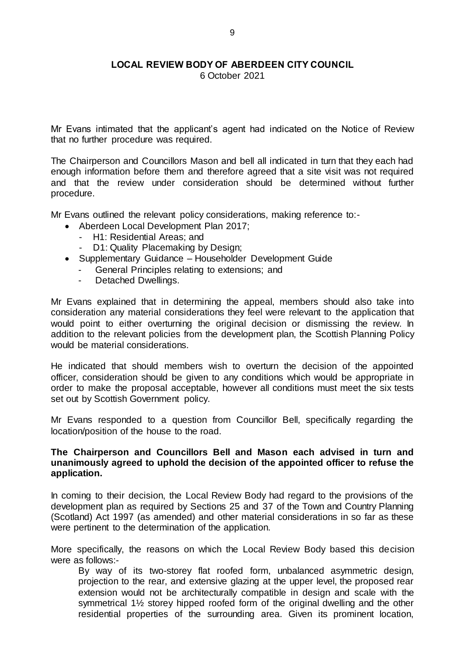6 October 2021

Mr Evans intimated that the applicant's agent had indicated on the Notice of Review that no further procedure was required.

The Chairperson and Councillors Mason and bell all indicated in turn that they each had enough information before them and therefore agreed that a site visit was not required and that the review under consideration should be determined without further procedure.

Mr Evans outlined the relevant policy considerations, making reference to:-

- Aberdeen Local Development Plan 2017;
	- H1: Residential Areas; and
	- D1: Quality Placemaking by Design;
- Supplementary Guidance Householder Development Guide
	- General Principles relating to extensions; and
	- Detached Dwellings.

Mr Evans explained that in determining the appeal, members should also take into consideration any material considerations they feel were relevant to the application that would point to either overturning the original decision or dismissing the review. In addition to the relevant policies from the development plan, the Scottish Planning Policy would be material considerations.

He indicated that should members wish to overturn the decision of the appointed officer, consideration should be given to any conditions which would be appropriate in order to make the proposal acceptable, however all conditions must meet the six tests set out by Scottish Government policy.

Mr Evans responded to a question from Councillor Bell, specifically regarding the location/position of the house to the road.

#### **The Chairperson and Councillors Bell and Mason each advised in turn and unanimously agreed to uphold the decision of the appointed officer to refuse the application.**

In coming to their decision, the Local Review Body had regard to the provisions of the development plan as required by Sections 25 and 37 of the Town and Country Planning (Scotland) Act 1997 (as amended) and other material considerations in so far as these were pertinent to the determination of the application.

More specifically, the reasons on which the Local Review Body based this decision were as follows:-

By way of its two-storey flat roofed form, unbalanced asymmetric design, projection to the rear, and extensive glazing at the upper level, the proposed rear extension would not be architecturally compatible in design and scale with the symmetrical 1½ storey hipped roofed form of the original dwelling and the other residential properties of the surrounding area. Given its prominent location,